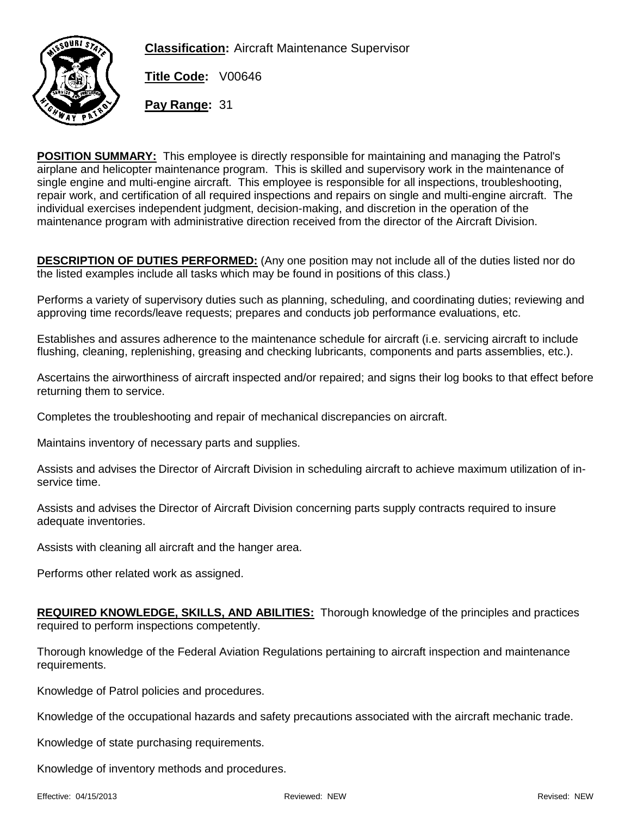**Classification:** Aircraft Maintenance Supervisor



**Title Code:** V00646

**Pay Range:** 31

**POSITION SUMMARY:** This employee is directly responsible for maintaining and managing the Patrol's airplane and helicopter maintenance program. This is skilled and supervisory work in the maintenance of single engine and multi-engine aircraft. This employee is responsible for all inspections, troubleshooting, repair work, and certification of all required inspections and repairs on single and multi-engine aircraft. The individual exercises independent judgment, decision-making, and discretion in the operation of the maintenance program with administrative direction received from the director of the Aircraft Division.

**DESCRIPTION OF DUTIES PERFORMED:** (Any one position may not include all of the duties listed nor do the listed examples include all tasks which may be found in positions of this class.)

Performs a variety of supervisory duties such as planning, scheduling, and coordinating duties; reviewing and approving time records/leave requests; prepares and conducts job performance evaluations, etc.

Establishes and assures adherence to the maintenance schedule for aircraft (i.e. servicing aircraft to include flushing, cleaning, replenishing, greasing and checking lubricants, components and parts assemblies, etc.).

Ascertains the airworthiness of aircraft inspected and/or repaired; and signs their log books to that effect before returning them to service.

Completes the troubleshooting and repair of mechanical discrepancies on aircraft.

Maintains inventory of necessary parts and supplies.

Assists and advises the Director of Aircraft Division in scheduling aircraft to achieve maximum utilization of inservice time.

Assists and advises the Director of Aircraft Division concerning parts supply contracts required to insure adequate inventories.

Assists with cleaning all aircraft and the hanger area.

Performs other related work as assigned.

**REQUIRED KNOWLEDGE, SKILLS, AND ABILITIES:** Thorough knowledge of the principles and practices required to perform inspections competently.

Thorough knowledge of the Federal Aviation Regulations pertaining to aircraft inspection and maintenance requirements.

Knowledge of Patrol policies and procedures.

Knowledge of the occupational hazards and safety precautions associated with the aircraft mechanic trade.

Knowledge of state purchasing requirements.

Knowledge of inventory methods and procedures.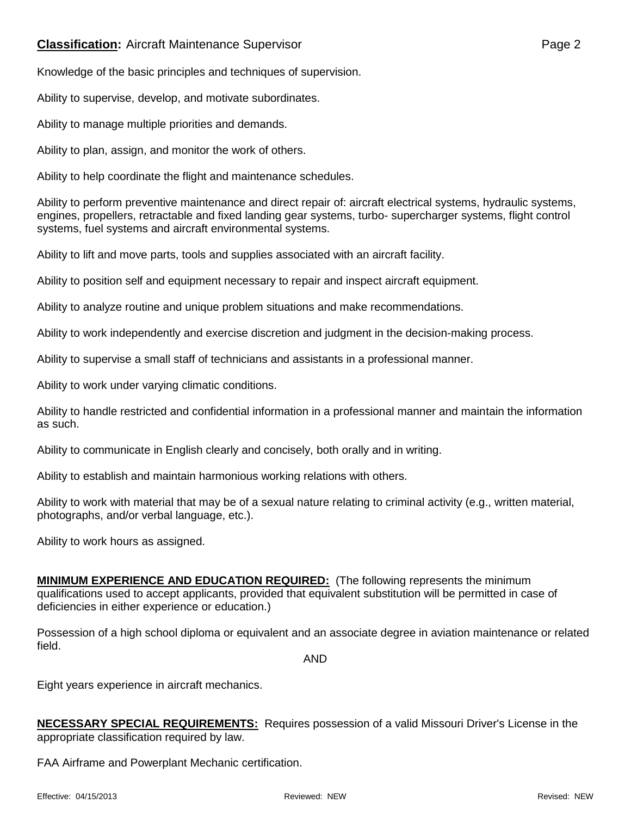## **Classification:** Aircraft Maintenance Supervisor **Page 2** Page 2

Knowledge of the basic principles and techniques of supervision.

Ability to supervise, develop, and motivate subordinates.

Ability to manage multiple priorities and demands.

Ability to plan, assign, and monitor the work of others.

Ability to help coordinate the flight and maintenance schedules.

Ability to perform preventive maintenance and direct repair of: aircraft electrical systems, hydraulic systems, engines, propellers, retractable and fixed landing gear systems, turbo- supercharger systems, flight control systems, fuel systems and aircraft environmental systems.

Ability to lift and move parts, tools and supplies associated with an aircraft facility.

Ability to position self and equipment necessary to repair and inspect aircraft equipment.

Ability to analyze routine and unique problem situations and make recommendations.

Ability to work independently and exercise discretion and judgment in the decision-making process.

Ability to supervise a small staff of technicians and assistants in a professional manner.

Ability to work under varying climatic conditions.

Ability to handle restricted and confidential information in a professional manner and maintain the information as such.

Ability to communicate in English clearly and concisely, both orally and in writing.

Ability to establish and maintain harmonious working relations with others.

Ability to work with material that may be of a sexual nature relating to criminal activity (e.g., written material, photographs, and/or verbal language, etc.).

Ability to work hours as assigned.

**MINIMUM EXPERIENCE AND EDUCATION REQUIRED:** (The following represents the minimum qualifications used to accept applicants, provided that equivalent substitution will be permitted in case of deficiencies in either experience or education.)

Possession of a high school diploma or equivalent and an associate degree in aviation maintenance or related field.

AND

Eight years experience in aircraft mechanics.

**NECESSARY SPECIAL REQUIREMENTS:** Requires possession of a valid Missouri Driver's License in the appropriate classification required by law.

FAA Airframe and Powerplant Mechanic certification.